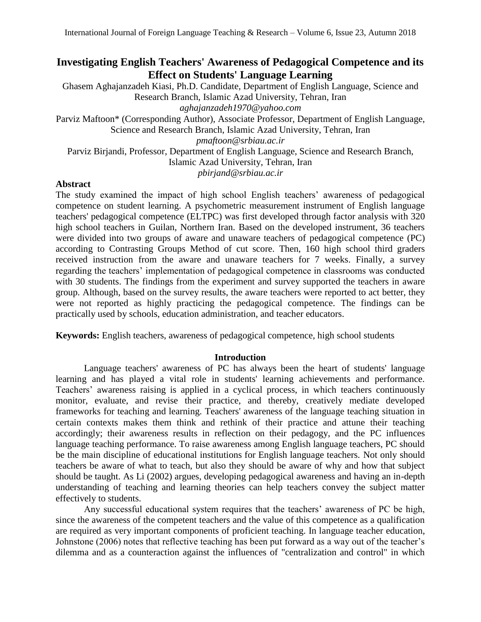# **Investigating English Teachers' Awareness of Pedagogical Competence and its Effect on Students' Language Learning**

Ghasem Aghajanzadeh Kiasi, Ph.D. Candidate, Department of English Language, Science and Research Branch, Islamic Azad University, Tehran, Iran *[aghajanzadeh1970@yahoo.com](mailto:aghajanzadeh1970@yahoo.com)*

Parviz Maftoon\* (Corresponding Author), Associate Professor, Department of English Language, Science and Research Branch, Islamic Azad University, Tehran, Iran

*[pmaftoon@srbiau.ac.ir](mailto:pmaftoon@srbiau.ac.ir)*

Parviz Birjandi, Professor, Department of English Language, Science and Research Branch, Islamic Azad University, Tehran, Iran *[pbirjand@srbiau.ac.ir](mailto:pbirjand@srbiau.ac.ir)*

# **Abstract**

The study examined the impact of high school English teachers' awareness of pedagogical competence on student learning. A psychometric measurement instrument of English language teachers' pedagogical competence (ELTPC) was first developed through factor analysis with 320 high school teachers in Guilan, Northern Iran. Based on the developed instrument, 36 teachers were divided into two groups of aware and unaware teachers of pedagogical competence (PC) according to Contrasting Groups Method of cut score. Then, 160 high school third graders received instruction from the aware and unaware teachers for 7 weeks. Finally, a survey regarding the teachers' implementation of pedagogical competence in classrooms was conducted with 30 students. The findings from the experiment and survey supported the teachers in aware group. Although, based on the survey results, the aware teachers were reported to act better, they were not reported as highly practicing the pedagogical competence. The findings can be practically used by schools, education administration, and teacher educators.

**Keywords:** English teachers, awareness of pedagogical competence, high school students

# **Introduction**

Language teachers' awareness of PC has always been the heart of students' language learning and has played a vital role in students' learning achievements and performance. Teachers' awareness raising is applied in a cyclical process, in which teachers continuously monitor, evaluate, and revise their practice, and thereby, creatively mediate developed frameworks for teaching and learning. Teachers' awareness of the language teaching situation in certain contexts makes them think and rethink of their practice and attune their teaching accordingly; their awareness results in reflection on their pedagogy, and the PC influences language teaching performance. To raise awareness among English language teachers, PC should be the main discipline of educational institutions for English language teachers. Not only should teachers be aware of what to teach, but also they should be aware of why and how that subject should be taught. As Li (2002) argues, developing pedagogical awareness and having an in-depth understanding of teaching and learning theories can help teachers convey the subject matter effectively to students.

Any successful educational system requires that the teachers' awareness of PC be high, since the awareness of the competent teachers and the value of this competence as a qualification are required as very important components of proficient teaching. In language teacher education, Johnstone (2006) notes that reflective teaching has been put forward as a way out of the teacher's dilemma and as a counteraction against the influences of "centralization and control" in which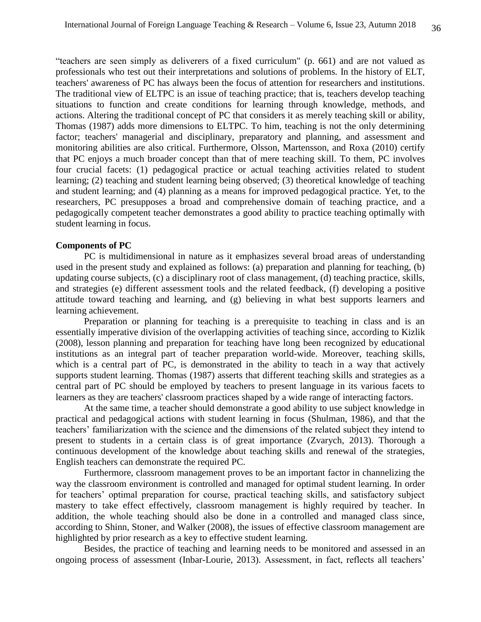"teachers are seen simply as deliverers of a fixed curriculum" (p. 661) and are not valued as professionals who test out their interpretations and solutions of problems. In the history of ELT, teachers' awareness of PC has always been the focus of attention for researchers and institutions. The traditional view of ELTPC is an issue of teaching practice; that is, teachers develop teaching situations to function and create conditions for learning through knowledge, methods, and actions. Altering the traditional concept of PC that considers it as merely teaching skill or ability, Thomas (1987) adds more dimensions to ELTPC. To him, teaching is not the only determining factor; teachers' managerial and disciplinary, preparatory and planning, and assessment and monitoring abilities are also critical. Furthermore, Olsson, Martensson, and Roxa (2010) certify that PC enjoys a much broader concept than that of mere teaching skill. To them, PC involves four crucial facets: (1) pedagogical practice or actual teaching activities related to student learning; (2) teaching and student learning being observed; (3) theoretical knowledge of teaching and student learning; and (4) planning as a means for improved pedagogical practice. Yet, to the researchers, PC presupposes a broad and comprehensive domain of teaching practice, and a pedagogically competent teacher demonstrates a good ability to practice teaching optimally with student learning in focus.

#### **Components of PC**

PC is multidimensional in nature as it emphasizes several broad areas of understanding used in the present study and explained as follows: (a) preparation and planning for teaching, (b) updating course subjects, (c) a disciplinary root of class management, (d) teaching practice, skills, and strategies (e) different assessment tools and the related feedback, (f) developing a positive attitude toward teaching and learning, and (g) believing in what best supports learners and learning achievement.

Preparation or planning for teaching is a prerequisite to teaching in class and is an essentially imperative division of the overlapping activities of teaching since, according to Kizlik (2008), lesson planning and preparation for teaching have long been recognized by educational institutions as an integral part of teacher preparation world-wide. Moreover, teaching skills, which is a central part of PC, is demonstrated in the ability to teach in a way that actively supports student learning. Thomas (1987) asserts that different teaching skills and strategies as a central part of PC should be employed by teachers to present language in its various facets to learners as they are teachers' classroom practices shaped by a wide range of interacting factors.

At the same time, a teacher should demonstrate a good ability to use subject knowledge in practical and pedagogical actions with student learning in focus (Shulman, 1986), and that the teachers' familiarization with the science and the dimensions of the related subject they intend to present to students in a certain class is of great importance (Zvarych, 2013). Thorough a continuous development of the knowledge about teaching skills and renewal of the strategies, English teachers can demonstrate the required PC.

Furthermore, classroom management proves to be an important factor in channelizing the way the classroom environment is controlled and managed for optimal student learning. In order for teachers' optimal preparation for course, practical teaching skills, and satisfactory subject mastery to take effect effectively, classroom management is highly required by teacher. In addition, the whole teaching should also be done in a controlled and managed class since, according to Shinn, Stoner, and Walker (2008), the issues of effective classroom management are highlighted by prior research as a key to effective student learning.

Besides, the practice of teaching and learning needs to be monitored and assessed in an ongoing process of assessment (Inbar-Lourie, 2013). Assessment, in fact, reflects all teachers'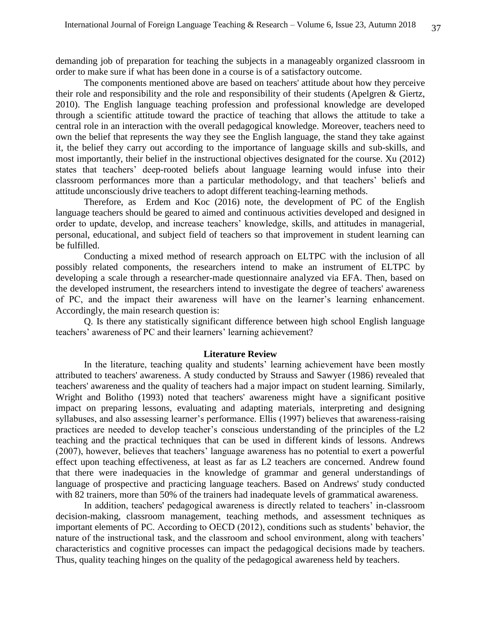demanding job of preparation for teaching the subjects in a manageably organized classroom in order to make sure if what has been done in a course is of a satisfactory outcome.

The components mentioned above are based on teachers' attitude about how they perceive their role and responsibility and the role and responsibility of their students (Apelgren & Giertz, 2010). The English language teaching profession and professional knowledge are developed through a scientific attitude toward the practice of teaching that allows the attitude to take a central role in an interaction with the overall pedagogical knowledge. Moreover, teachers need to own the belief that represents the way they see the English language, the stand they take against it, the belief they carry out according to the importance of language skills and sub-skills, and most importantly, their belief in the instructional objectives designated for the course. Xu (2012) states that teachers' deep-rooted beliefs about language learning would infuse into their classroom performances more than a particular methodology, and that teachers' beliefs and attitude unconsciously drive teachers to adopt different teaching-learning methods.

Therefore, as Erdem and Koc (2016) note, the development of PC of the English language teachers should be geared to aimed and continuous activities developed and designed in order to update, develop, and increase teachers' knowledge, skills, and attitudes in managerial, personal, educational, and subject field of teachers so that improvement in student learning can be fulfilled.

Conducting a mixed method of research approach on ELTPC with the inclusion of all possibly related components, the researchers intend to make an instrument of ELTPC by developing a scale through a researcher-made questionnaire analyzed via EFA. Then, based on the developed instrument, the researchers intend to investigate the degree of teachers' awareness of PC, and the impact their awareness will have on the learner's learning enhancement. Accordingly, the main research question is:

Q. Is there any statistically significant difference between high school English language teachers' awareness of PC and their learners' learning achievement?

### **Literature Review**

In the literature, teaching quality and students' learning achievement have been mostly attributed to teachers' awareness. A study conducted by Strauss and Sawyer (1986) revealed that teachers' awareness and the quality of teachers had a major impact on student learning. Similarly, Wright and Bolitho (1993) noted that teachers' awareness might have a significant positive impact on preparing lessons, evaluating and adapting materials, interpreting and designing syllabuses, and also assessing learner's performance. Ellis (1997) believes that awareness-raising practices are needed to develop teacher's conscious understanding of the principles of the L2 teaching and the practical techniques that can be used in different kinds of lessons. Andrews (2007), however, believes that teachers' language awareness has no potential to exert a powerful effect upon teaching effectiveness, at least as far as L2 teachers are concerned. Andrew found that there were inadequacies in the knowledge of grammar and general understandings of language of prospective and practicing language teachers. Based on Andrews' study conducted with 82 trainers, more than 50% of the trainers had inadequate levels of grammatical awareness.

In addition, teachers' pedagogical awareness is directly related to teachers' in-classroom decision-making, classroom management, teaching methods, and assessment techniques as important elements of PC. According to OECD (2012), conditions such as students' behavior, the nature of the instructional task, and the classroom and school environment, along with teachers' characteristics and cognitive processes can impact the pedagogical decisions made by teachers. Thus, quality teaching hinges on the quality of the pedagogical awareness held by teachers.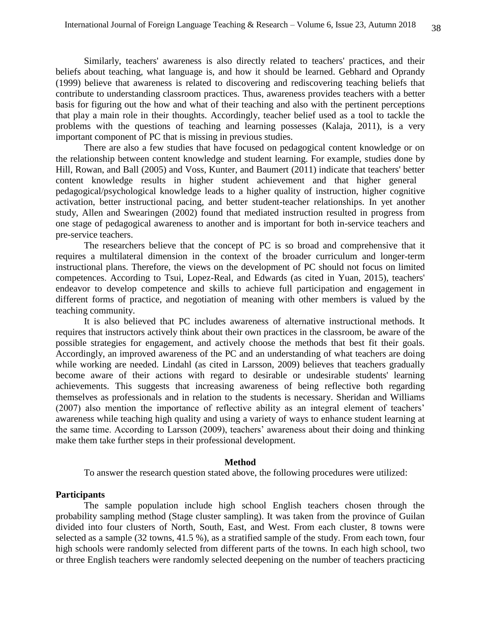Similarly, teachers' awareness is also directly related to teachers' practices, and their beliefs about teaching, what language is, and how it should be learned. Gebhard and Oprandy (1999) believe that awareness is related to discovering and rediscovering teaching beliefs that contribute to understanding classroom practices. Thus, awareness provides teachers with a better basis for figuring out the how and what of their teaching and also with the pertinent perceptions that play a main role in their thoughts. Accordingly, teacher belief used as a tool to tackle the problems with the questions of teaching and learning possesses (Kalaja, 2011), is a very important component of PC that is missing in previous studies.

There are also a few studies that have focused on pedagogical content knowledge or on the relationship between content knowledge and student learning. For example, studies done by Hill, Rowan, and Ball (2005) and Voss, Kunter, and Baumert (2011) indicate that teachers' better content knowledge results in higher student achievement and that higher general pedagogical/psychological knowledge leads to a higher quality of instruction, higher cognitive activation, better instructional pacing, and better student-teacher relationships. In yet another study, Allen and Swearingen (2002) found that mediated instruction resulted in progress from one stage of pedagogical awareness to another and is important for both in-service teachers and pre-service teachers.

The researchers believe that the concept of PC is so broad and comprehensive that it requires a multilateral dimension in the context of the broader curriculum and longer-term instructional plans. Therefore, the views on the development of PC should not focus on limited competences. According to Tsui, Lopez-Real, and Edwards (as cited in Yuan, 2015), teachers' endeavor to develop competence and skills to achieve full participation and engagement in different forms of practice, and negotiation of meaning with other members is valued by the teaching community.

It is also believed that PC includes awareness of alternative instructional methods. It requires that instructors actively think about their own practices in the classroom, be aware of the possible strategies for engagement, and actively choose the methods that best fit their goals. Accordingly, an improved awareness of the PC and an understanding of what teachers are doing while working are needed. Lindahl (as cited in Larsson, 2009) believes that teachers gradually become aware of their actions with regard to desirable or undesirable students' learning achievements. This suggests that increasing awareness of being reflective both regarding themselves as professionals and in relation to the students is necessary. Sheridan and Williams (2007) also mention the importance of reflective ability as an integral element of teachers' awareness while teaching high quality and using a variety of ways to enhance student learning at the same time. According to Larsson (2009), teachers' awareness about their doing and thinking make them take further steps in their professional development.

#### **Method**

To answer the research question stated above, the following procedures were utilized:

#### **Participants**

The sample population include high school English teachers chosen through the probability sampling method (Stage cluster sampling). It was taken from the province of Guilan divided into four clusters of North, South, East, and West. From each cluster, 8 towns were selected as a sample (32 towns, 41.5 %), as a stratified sample of the study. From each town, four high schools were randomly selected from different parts of the towns. In each high school, two or three English teachers were randomly selected deepening on the number of teachers practicing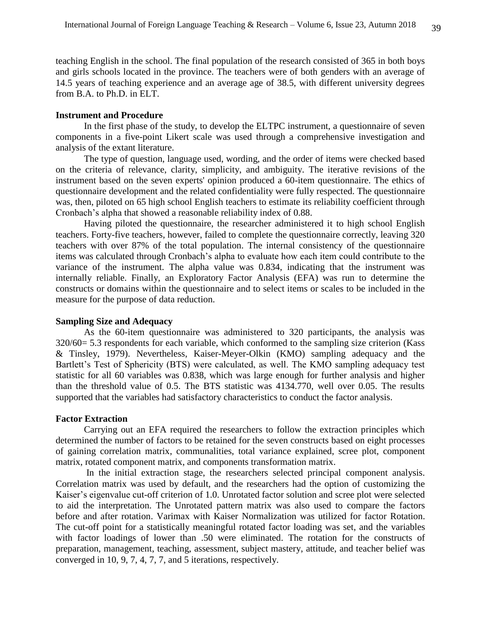teaching English in the school. The final population of the research consisted of 365 in both boys and girls schools located in the province. The teachers were of both genders with an average of 14.5 years of teaching experience and an average age of 38.5, with different university degrees from B.A. to Ph.D. in ELT.

#### **Instrument and Procedure**

In the first phase of the study, to develop the ELTPC instrument, a questionnaire of seven components in a five-point Likert scale was used through a comprehensive investigation and analysis of the extant literature.

The type of question, language used, wording, and the order of items were checked based on the criteria of relevance, clarity, simplicity, and ambiguity. The iterative revisions of the instrument based on the seven experts' opinion produced a 60-item questionnaire. The ethics of questionnaire development and the related confidentiality were fully respected. The questionnaire was, then, piloted on 65 high school English teachers to estimate its reliability coefficient through Cronbach's alpha that showed a reasonable reliability index of 0.88.

Having piloted the questionnaire, the researcher administered it to high school English teachers. Forty-five teachers, however, failed to complete the questionnaire correctly, leaving 320 teachers with over 87% of the total population. The internal consistency of the questionnaire items was calculated through Cronbach's alpha to evaluate how each item could contribute to the variance of the instrument. The alpha value was 0.834, indicating that the instrument was internally reliable. Finally, an Exploratory Factor Analysis (EFA) was run to determine the constructs or domains within the questionnaire and to select items or scales to be included in the measure for the purpose of data reduction.

#### **Sampling Size and Adequacy**

As the 60-item questionnaire was administered to 320 participants, the analysis was 320/60= 5.3 respondents for each variable, which conformed to the sampling size criterion (Kass & Tinsley, 1979). Nevertheless, Kaiser-Meyer-Olkin (KMO) sampling adequacy and the Bartlett's Test of Sphericity (BTS) were calculated, as well. The KMO sampling adequacy test statistic for all 60 variables was 0.838, which was large enough for further analysis and higher than the threshold value of 0.5. The BTS statistic was 4134.770, well over 0.05. The results supported that the variables had satisfactory characteristics to conduct the factor analysis.

#### **Factor Extraction**

Carrying out an EFA required the researchers to follow the extraction principles which determined the number of factors to be retained for the seven constructs based on eight processes of gaining correlation matrix, communalities, total variance explained, scree plot, component matrix, rotated component matrix, and components transformation matrix.

In the initial extraction stage, the researchers selected principal component analysis. Correlation matrix was used by default, and the researchers had the option of customizing the Kaiser's eigenvalue cut-off criterion of 1.0. Unrotated factor solution and scree plot were selected to aid the interpretation. The Unrotated pattern matrix was also used to compare the factors before and after rotation. Varimax with Kaiser Normalization was utilized for factor Rotation. The cut-off point for a statistically meaningful rotated factor loading was set, and the variables with factor loadings of lower than .50 were eliminated. The rotation for the constructs of preparation, management, teaching, assessment, subject mastery, attitude, and teacher belief was converged in 10, 9, 7, 4, 7, 7, and 5 iterations, respectively.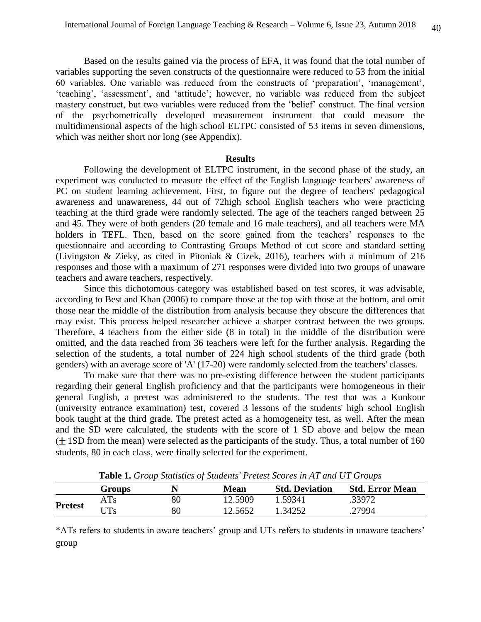Based on the results gained via the process of EFA, it was found that the total number of variables supporting the seven constructs of the questionnaire were reduced to 53 from the initial 60 variables. One variable was reduced from the constructs of 'preparation', 'management', 'teaching', 'assessment', and 'attitude'; however, no variable was reduced from the subject mastery construct, but two variables were reduced from the 'belief' construct. The final version of the psychometrically developed measurement instrument that could measure the multidimensional aspects of the high school ELTPC consisted of 53 items in seven dimensions, which was neither short nor long (see Appendix).

### **Results**

Following the development of ELTPC instrument, in the second phase of the study, an experiment was conducted to measure the effect of the English language teachers' awareness of PC on student learning achievement. First, to figure out the degree of teachers' pedagogical awareness and unawareness, 44 out of 72high school English teachers who were practicing teaching at the third grade were randomly selected. The age of the teachers ranged between 25 and 45. They were of both genders (20 female and 16 male teachers), and all teachers were MA holders in TEFL. Then, based on the score gained from the teachers' responses to the questionnaire and according to Contrasting Groups Method of cut score and standard setting (Livingston & Zieky, as cited in Pitoniak & Cizek, 2016), teachers with a minimum of 216 responses and those with a maximum of 271 responses were divided into two groups of unaware teachers and aware teachers, respectively.

Since this dichotomous category was established based on test scores, it was advisable, according to Best and Khan (2006) to compare those at the top with those at the bottom, and omit those near the middle of the distribution from analysis because they obscure the differences that may exist. This process helped researcher achieve a sharper contrast between the two groups. Therefore, 4 teachers from the either side (8 in total) in the middle of the distribution were omitted, and the data reached from 36 teachers were left for the further analysis. Regarding the selection of the students, a total number of 224 high school students of the third grade (both genders) with an average score of 'A' (17-20) were randomly selected from the teachers' classes.

To make sure that there was no pre-existing difference between the student participants regarding their general English proficiency and that the participants were homogeneous in their general English, a pretest was administered to the students. The test that was a Kunkour (university entrance examination) test, covered 3 lessons of the students' high school English book taught at the third grade. The pretest acted as a homogeneity test, as well. After the mean and the SD were calculated, the students with the score of 1 SD above and below the mean  $($  1SD from the mean) were selected as the participants of the study. Thus, a total number of 160 students, 80 in each class, were finally selected for the experiment.

|                | <b>Lable 1.</b> Orbit bluistics of bludents Trelest beores in AT and OT Orbit S |        |             |                       |                        |  |  |  |  |  |
|----------------|---------------------------------------------------------------------------------|--------|-------------|-----------------------|------------------------|--|--|--|--|--|
|                | <b>Groups</b>                                                                   |        | <b>Mean</b> | <b>Std. Deviation</b> | <b>Std. Error Mean</b> |  |  |  |  |  |
| <b>Pretest</b> | ATs                                                                             | 80     | 12.5909     | 1.59341               | .33972                 |  |  |  |  |  |
|                | UTs                                                                             | $80\,$ | 12.5652     | 1.34252               | .27994                 |  |  |  |  |  |

**Table 1.** *Group Statistics of Students' Pretest Scores in AT and UT Groups*

\*ATs refers to students in aware teachers' group and UTs refers to students in unaware teachers' group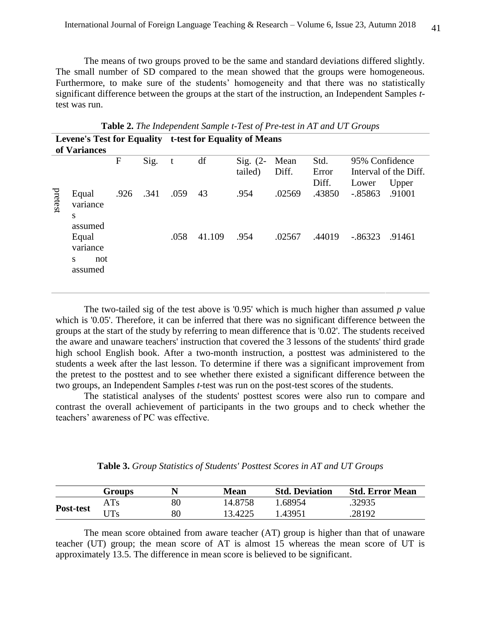The means of two groups proved to be the same and standard deviations differed slightly. The small number of SD compared to the mean showed that the groups were homogeneous. Furthermore, to make sure of the students' homogeneity and that there was no statistically significant difference between the groups at the start of the instruction, an Independent Samples *t*test was run.

| of Variances |                                          |      | Levene's Test for Equality t-test for Equality of Means |              |        |                       |               |                        |                         |                                |
|--------------|------------------------------------------|------|---------------------------------------------------------|--------------|--------|-----------------------|---------------|------------------------|-------------------------|--------------------------------|
|              |                                          | F    | Sig.                                                    | $\mathbf{t}$ | df     | Sig. $(2-$<br>tailed) | Mean<br>Diff. | Std.<br>Error<br>Diff. | 95% Confidence<br>Lower | Interval of the Diff.<br>Upper |
| pretest      | Equal<br>variance<br>S<br>assumed        | .926 | .341                                                    | .059         | 43     | .954                  | .02569        | .43850                 | $-.85863$               | .91001                         |
|              | Equal<br>variance<br>S<br>not<br>assumed |      |                                                         | .058         | 41.109 | .954                  | .02567        | .44019                 | $-.86323$               | .91461                         |

**Table 2.** *The Independent Sample t-Test of Pre-test in AT and UT Groups*

The two-tailed sig of the test above is '0.95' which is much higher than assumed *p* value which is '0.05'. Therefore, it can be inferred that there was no significant difference between the groups at the start of the study by referring to mean difference that is '0.02'. The students received the aware and unaware teachers' instruction that covered the 3 lessons of the students' third grade high school English book. After a two-month instruction, a posttest was administered to the students a week after the last lesson. To determine if there was a significant improvement from the pretest to the posttest and to see whether there existed a significant difference between the two groups, an Independent Samples *t*-test was run on the post-test scores of the students.

The statistical analyses of the students' posttest scores were also run to compare and contrast the overall achievement of participants in the two groups and to check whether the teachers' awareness of PC was effective.

|  |  |  | Table 3. Group Statistics of Students' Posttest Scores in AT and UT Groups |  |  |  |  |  |
|--|--|--|----------------------------------------------------------------------------|--|--|--|--|--|
|--|--|--|----------------------------------------------------------------------------|--|--|--|--|--|

|           | <b>Groups</b> |        | <b>Mean</b> | <b>Std. Deviation</b> | <b>Std. Error Mean</b> |
|-----------|---------------|--------|-------------|-----------------------|------------------------|
|           | ATs           | 80     | 14.8758     | 1.68954               | .32935                 |
| Post-test | JTs           | $80\,$ | 3.4225      | 1.43951               | .28192                 |

The mean score obtained from aware teacher (AT) group is higher than that of unaware teacher (UT) group; the mean score of AT is almost 15 whereas the mean score of UT is approximately 13.5. The difference in mean score is believed to be significant.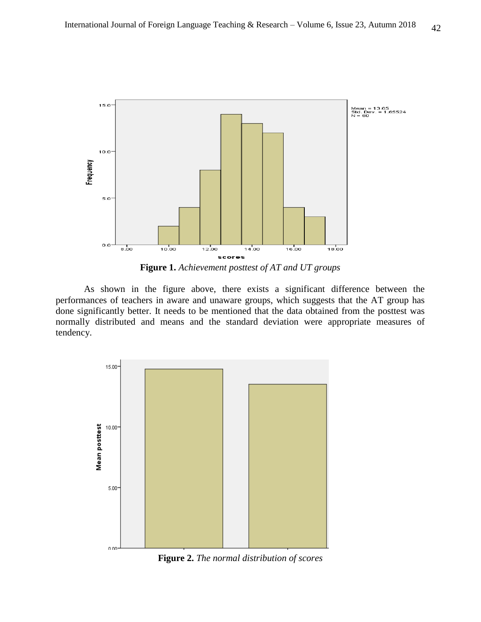

**Figure 1.** *Achievement posttest of AT and UT groups*

As shown in the figure above, there exists a significant difference between the performances of teachers in aware and unaware groups, which suggests that the AT group has done significantly better. It needs to be mentioned that the data obtained from the posttest was normally distributed and means and the standard deviation were appropriate measures of tendency.



**Figure 2.** *The normal distribution of scores*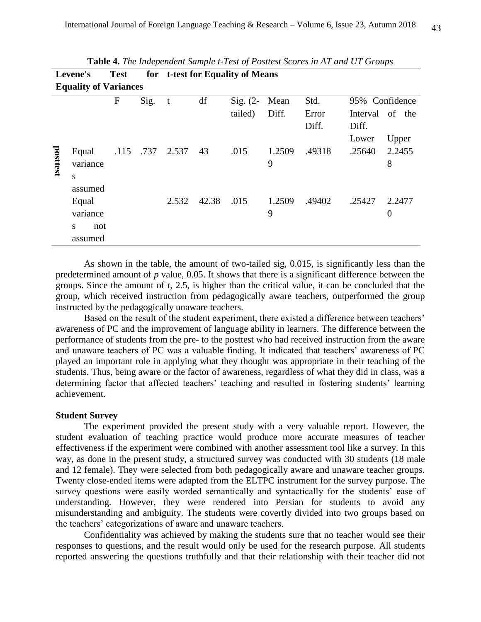| <b>Test</b><br>for t-test for Equality of Means<br>Levene's |                                                     |              |           |       |       |                       |               |                        |                   |                          |
|-------------------------------------------------------------|-----------------------------------------------------|--------------|-----------|-------|-------|-----------------------|---------------|------------------------|-------------------|--------------------------|
| <b>Equality of Variances</b>                                |                                                     |              |           |       |       |                       |               |                        |                   |                          |
|                                                             |                                                     | $\mathbf{F}$ | Sig.      | t     | df    | Sig. $(2-$<br>tailed) | Mean<br>Diff. | Std.<br>Error<br>Diff. | Interval<br>Diff. | 95% Confidence<br>of the |
| posttest                                                    | Equal<br>variance<br>S                              |              | .115 .737 | 2.537 | 43    | .015                  | 1.2509<br>9   | .49318                 | Lower<br>.25640   | Upper<br>2.2455<br>8     |
|                                                             | assumed<br>Equal<br>variance<br>S<br>not<br>assumed |              |           | 2.532 | 42.38 | .015                  | 1.2509<br>9   | .49402                 | .25427            | 2.2477<br>$\overline{0}$ |

|--|

As shown in the table, the amount of two-tailed sig, 0.015, is significantly less than the predetermined amount of *p* value, 0.05. It shows that there is a significant difference between the groups. Since the amount of *t*, 2.5, is higher than the critical value, it can be concluded that the group, which received instruction from pedagogically aware teachers, outperformed the group instructed by the pedagogically unaware teachers.

Based on the result of the student experiment, there existed a difference between teachers' awareness of PC and the improvement of language ability in learners. The difference between the performance of students from the pre- to the posttest who had received instruction from the aware and unaware teachers of PC was a valuable finding. It indicated that teachers' awareness of PC played an important role in applying what they thought was appropriate in their teaching of the students. Thus, being aware or the factor of awareness, regardless of what they did in class, was a determining factor that affected teachers' teaching and resulted in fostering students' learning achievement.

### **Student Survey**

The experiment provided the present study with a very valuable report. However, the student evaluation of teaching practice would produce more accurate measures of teacher effectiveness if the experiment were combined with another assessment tool like a survey. In this way, as done in the present study, a structured survey was conducted with 30 students (18 male and 12 female). They were selected from both pedagogically aware and unaware teacher groups. Twenty close-ended items were adapted from the ELTPC instrument for the survey purpose. The survey questions were easily worded semantically and syntactically for the students' ease of understanding. However, they were rendered into Persian for students to avoid any misunderstanding and ambiguity. The students were covertly divided into two groups based on the teachers' categorizations of aware and unaware teachers.

Confidentiality was achieved by making the students sure that no teacher would see their responses to questions, and the result would only be used for the research purpose. All students reported answering the questions truthfully and that their relationship with their teacher did not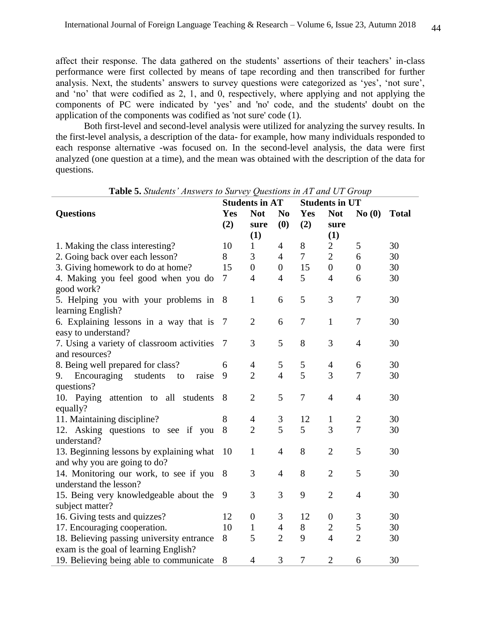affect their response. The data gathered on the students' assertions of their teachers' in-class performance were first collected by means of tape recording and then transcribed for further analysis. Next, the students' answers to survey questions were categorized as 'yes', 'not sure', and 'no' that were codified as 2, 1, and 0, respectively, where applying and not applying the components of PC were indicated by 'yes' and 'no' code, and the students' doubt on the application of the components was codified as 'not sure' code (1).

Both first-level and second-level analysis were utilized for analyzing the survey results. In the first-level analysis, a description of the data- for example, how many individuals responded to each response alternative -was focused on. In the second-level analysis, the data were first analyzed (one question at a time), and the mean was obtained with the description of the data for questions.

|                                              |     | <b>Students in AT</b> |                  | <b>Students in UT</b> |                  |                |              |
|----------------------------------------------|-----|-----------------------|------------------|-----------------------|------------------|----------------|--------------|
| <b>Questions</b>                             | Yes | <b>Not</b>            | N <sub>0</sub>   | Yes                   | <b>Not</b>       | No(0)          | <b>Total</b> |
|                                              | (2) | sure                  | (0)              | (2)                   | sure             |                |              |
|                                              |     | (1)                   |                  |                       | (1)              |                |              |
| 1. Making the class interesting?             | 10  | $\mathbf{1}$          | $\overline{4}$   | 8                     | $\mathbf{2}$     | 5              | 30           |
| 2. Going back over each lesson?              | 8   | 3                     | $\overline{4}$   | $\tau$                | $\overline{2}$   | 6              | 30           |
| 3. Giving homework to do at home?            | 15  | $\overline{0}$        | $\boldsymbol{0}$ | 15                    | $\overline{0}$   | $\overline{0}$ | 30           |
| 4. Making you feel good when you do          | 7   | $\overline{4}$        | $\overline{4}$   | 5                     | $\overline{4}$   | 6              | 30           |
| good work?                                   |     |                       |                  |                       |                  |                |              |
| 5. Helping you with your problems in         | 8   | 1                     | 6                | 5                     | 3                | $\tau$         | 30           |
| learning English?                            |     |                       |                  |                       |                  |                |              |
| 6. Explaining lessons in a way that is       | 7   | $\overline{2}$        | 6                | 7                     | $\mathbf{1}$     | $\overline{7}$ | 30           |
| easy to understand?                          |     |                       |                  |                       |                  |                |              |
| 7. Using a variety of classroom activities   | 7   | 3                     | 5                | 8                     | 3                | $\overline{4}$ | 30           |
| and resources?                               |     |                       |                  |                       |                  |                |              |
| 8. Being well prepared for class?            | 6   | $\overline{4}$        | 5                | 5                     | $\overline{4}$   | 6              | 30           |
| Encouraging<br>students<br>raise<br>9.<br>to | 9   | $\overline{2}$        | $\overline{4}$   | 5                     | 3                | 7              | 30           |
| questions?                                   |     |                       |                  |                       |                  |                |              |
| 10. Paying attention to all students         | 8   | $\overline{2}$        | 5                | $\overline{7}$        | $\overline{4}$   | $\overline{4}$ | 30           |
| equally?                                     |     |                       |                  |                       |                  |                |              |
| 11. Maintaining discipline?                  | 8   | $\overline{4}$        | 3                | 12                    | $\mathbf{1}$     | $\mathbf{2}$   | 30           |
| 12. Asking questions to see if you           | 8   | $\overline{2}$        | 5                | 5                     | 3                | $\overline{7}$ | 30           |
| understand?                                  |     |                       |                  |                       |                  |                |              |
| 13. Beginning lessons by explaining what     | 10  | $\mathbf{1}$          | 4                | 8                     | $\overline{2}$   | 5              | 30           |
| and why you are going to do?                 |     |                       |                  |                       |                  |                |              |
| 14. Monitoring our work, to see if you       | 8   | 3                     | 4                | 8                     | $\overline{2}$   | 5              | 30           |
| understand the lesson?                       |     |                       |                  |                       |                  |                |              |
| 15. Being very knowledgeable about the       | 9   | 3                     | 3                | 9                     | $\overline{2}$   | $\overline{4}$ | 30           |
| subject matter?                              |     |                       |                  |                       |                  |                |              |
| 16. Giving tests and quizzes?                | 12  | $\boldsymbol{0}$      | 3                | 12                    | $\boldsymbol{0}$ | 3              | 30           |
| 17. Encouraging cooperation.                 | 10  | $\mathbf{1}$          | $\overline{4}$   | $8\,$                 | $\mathbf{2}$     | 5              | 30           |
| 18. Believing passing university entrance    | 8   | 5                     | $\overline{2}$   | 9                     | $\overline{4}$   | $\overline{2}$ | 30           |
| exam is the goal of learning English?        |     |                       |                  |                       |                  |                |              |
| 19. Believing being able to communicate      | 8   | $\overline{4}$        | 3                | $\overline{7}$        | $\overline{2}$   | 6              | 30           |

**Table 5.** *Students' Answers to Survey Questions in AT and UT Group*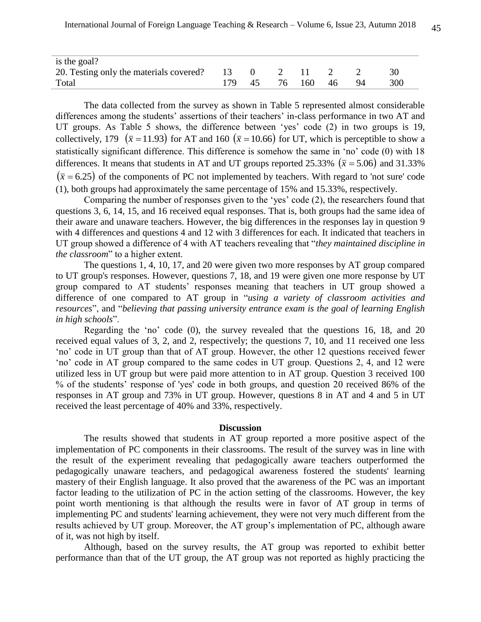| is the goal?                               |    |    |     |     |    |     |
|--------------------------------------------|----|----|-----|-----|----|-----|
| 20. Testing only the materials covered? 13 |    |    |     |     |    | 30  |
| Total                                      | 45 | 76 | 160 | -46 | 94 | 300 |

The data collected from the survey as shown in Table 5 represented almost considerable differences among the students' assertions of their teachers' in-class performance in two AT and UT groups. As Table 5 shows, the difference between 'yes' code (2) in two groups is 19, collectively, 179 ( $\bar{x}$  = 11.93) for AT and 160 ( $\bar{x}$  = 10.66) for UT, which is perceptible to show a statistically significant difference. This difference is somehow the same in 'no' code (0) with 18 differences. It means that students in AT and UT groups reported 25.33%  $(\bar{x} = 5.06)$  and 31.33%  $(\bar{x} = 6.25)$  of the components of PC not implemented by teachers. With regard to 'not sure' code (1), both groups had approximately the same percentage of 15% and 15.33%, respectively.

Comparing the number of responses given to the 'yes' code (2), the researchers found that questions 3, 6, 14, 15, and 16 received equal responses. That is, both groups had the same idea of their aware and unaware teachers. However, the big differences in the responses lay in question 9 with 4 differences and questions 4 and 12 with 3 differences for each. It indicated that teachers in UT group showed a difference of 4 with AT teachers revealing that "*they maintained discipline in the classroom*" to a higher extent.

The questions 1, 4, 10, 17, and 20 were given two more responses by AT group compared to UT group's responses. However, questions 7, 18, and 19 were given one more response by UT group compared to AT students' responses meaning that teachers in UT group showed a difference of one compared to AT group in "*using a variety of classroom activities and resources*", and "*believing that passing university entrance exam is the goal of learning English in high schools*".

Regarding the 'no' code (0), the survey revealed that the questions 16, 18, and 20 received equal values of 3, 2, and 2, respectively; the questions 7, 10, and 11 received one less 'no' code in UT group than that of AT group. However, the other 12 questions received fewer 'no' code in AT group compared to the same codes in UT group. Questions 2, 4, and 12 were utilized less in UT group but were paid more attention to in AT group. Question 3 received 100 % of the students' response of 'yes' code in both groups, and question 20 received 86% of the responses in AT group and 73% in UT group. However, questions 8 in AT and 4 and 5 in UT received the least percentage of 40% and 33%, respectively.

#### **Discussion**

The results showed that students in AT group reported a more positive aspect of the implementation of PC components in their classrooms. The result of the survey was in line with the result of the experiment revealing that pedagogically aware teachers outperformed the pedagogically unaware teachers, and pedagogical awareness fostered the students' learning mastery of their English language. It also proved that the awareness of the PC was an important factor leading to the utilization of PC in the action setting of the classrooms. However, the key point worth mentioning is that although the results were in favor of AT group in terms of implementing PC and students' learning achievement, they were not very much different from the results achieved by UT group. Moreover, the AT group's implementation of PC, although aware of it, was not high by itself.

Although, based on the survey results, the AT group was reported to exhibit better performance than that of the UT group, the AT group was not reported as highly practicing the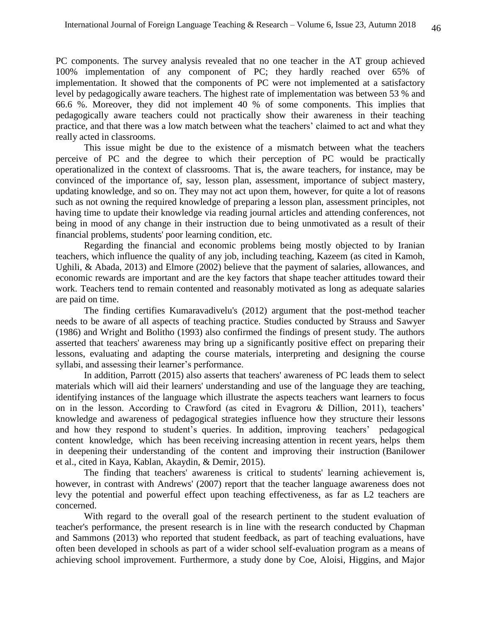PC components. The survey analysis revealed that no one teacher in the AT group achieved 100% implementation of any component of PC; they hardly reached over 65% of implementation. It showed that the components of PC were not implemented at a satisfactory level by pedagogically aware teachers. The highest rate of implementation was between 53 % and 66.6 %. Moreover, they did not implement 40 % of some components. This implies that pedagogically aware teachers could not practically show their awareness in their teaching practice, and that there was a low match between what the teachers' claimed to act and what they really acted in classrooms.

This issue might be due to the existence of a mismatch between what the teachers perceive of PC and the degree to which their perception of PC would be practically operationalized in the context of classrooms. That is, the aware teachers, for instance, may be convinced of the importance of, say, lesson plan, assessment, importance of subject mastery, updating knowledge, and so on. They may not act upon them, however, for quite a lot of reasons such as not owning the required knowledge of preparing a lesson plan, assessment principles, not having time to update their knowledge via reading journal articles and attending conferences, not being in mood of any change in their instruction due to being unmotivated as a result of their financial problems, students' poor learning condition, etc.

Regarding the financial and economic problems being mostly objected to by Iranian teachers, which influence the quality of any job, including teaching, Kazeem (as cited in Kamoh, Ughili, & Abada, 2013) and Elmore (2002) believe that the payment of salaries, allowances, and economic rewards are important and are the key factors that shape teacher attitudes toward their work. Teachers tend to remain contented and reasonably motivated as long as adequate salaries are paid on time.

The finding certifies Kumaravadivelu's (2012) argument that the post-method teacher needs to be aware of all aspects of teaching practice. Studies conducted by Strauss and Sawyer (1986) and Wright and Bolitho (1993) also confirmed the findings of present study. The authors asserted that teachers' awareness may bring up a significantly positive effect on preparing their lessons, evaluating and adapting the course materials, interpreting and designing the course syllabi, and assessing their learner's performance.

In addition, Parrott (2015) also asserts that teachers' awareness of PC leads them to select materials which will aid their learners' understanding and use of the language they are teaching, identifying instances of the language which illustrate the aspects teachers want learners to focus on in the lesson. According to Crawford (as cited in Evagroru & Dillion, 2011), teachers' knowledge and awareness of pedagogical strategies influence how they structure their lessons and how they respond to student's queries. In addition, improving teachers' pedagogical content knowledge, which has been receiving increasing attention in recent years, helps them in deepening their understanding of the content and improving their instruction (Banilower et al., cited in Kaya, Kablan, Akaydin, & Demir, 2015).

The finding that teachers' awareness is critical to students' learning achievement is, however, in contrast with Andrews' (2007) report that the teacher language awareness does not levy the potential and powerful effect upon teaching effectiveness, as far as L2 teachers are concerned.

With regard to the overall goal of the research pertinent to the student evaluation of teacher's performance, the present research is in line with the research conducted by Chapman and Sammons (2013) who reported that student feedback, as part of teaching evaluations, have often been developed in schools as part of a wider school self-evaluation program as a means of achieving school improvement. Furthermore, a study done by Coe, Aloisi, Higgins, and Major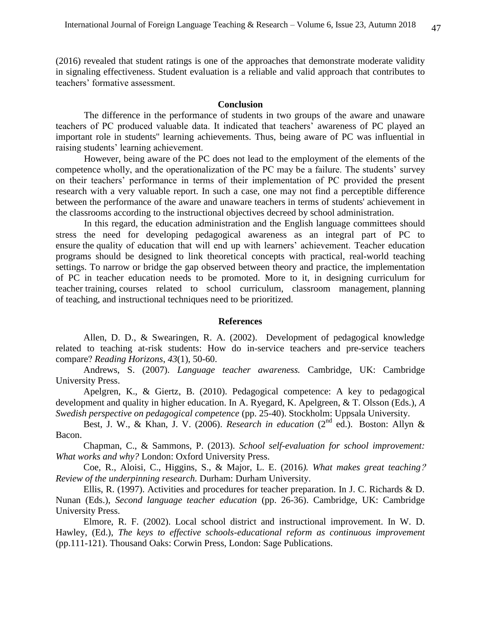(2016) revealed that student ratings is one of the approaches that demonstrate moderate validity in signaling effectiveness. Student evaluation is a reliable and valid approach that contributes to teachers' formative assessment.

# **Conclusion**

The difference in the performance of students in two groups of the aware and unaware teachers of PC produced valuable data. It indicated that teachers' awareness of PC played an important role in students'' learning achievements. Thus, being aware of PC was influential in raising students' learning achievement.

However, being aware of the PC does not lead to the employment of the elements of the competence wholly, and the operationalization of the PC may be a failure. The students' survey on their teachers' performance in terms of their implementation of PC provided the present research with a very valuable report. In such a case, one may not find a perceptible difference between the performance of the aware and unaware teachers in terms of students' achievement in the classrooms according to the instructional objectives decreed by school administration.

In this regard, the education administration and the English language committees should stress the need for developing pedagogical awareness as an integral part of PC to ensure the quality of education that will end up with learners' achievement. Teacher education programs should be designed to link theoretical concepts with practical, real-world teaching settings. To narrow or bridge the gap observed between theory and practice, the implementation of PC in teacher education needs to be promoted. More to it, in designing curriculum for teacher training, courses related to school curriculum, classroom management, planning of teaching, and instructional techniques need to be prioritized.

#### **References**

Allen, D. D., & Swearingen, R. A. (2002). Development of pedagogical knowledge related to teaching at-risk students: How do in-service teachers and pre-service teachers compare? *Reading Horizons*, *43*(1), 50-60.

Andrews, S. (2007). *Language teacher awareness.* Cambridge, UK: Cambridge University Press.

Apelgren, K., & Giertz, B. (2010). Pedagogical competence: A key to pedagogical development and quality in higher education. In A. Ryegard, K. Apelgreen, & T. Olsson (Eds.), *A Swedish perspective on pedagogical competence* (pp. 25-40). Stockholm: Uppsala University.

Best, J. W., & Khan, J. V. (2006). *Research in education* (2nd ed.). Boston: Allyn & Bacon.

Chapman, C., & Sammons, P. (2013). *School self-evaluation for school improvement: What works and why?* London: Oxford University Press.

Coe, R., Aloisi, C., Higgins, S., & Major, L. E. (2016*). What makes great teaching*? *Review of the underpinning research.* Durham: Durham University.

Ellis, R. (1997). Activities and procedures for teacher preparation. In J. C. Richards & D. Nunan (Eds.), *Second language teacher education* (pp. 26-36). Cambridge, UK: Cambridge University Press.

Elmore, R. F. (2002). Local school district and instructional improvement. In W. D. Hawley, (Ed.), *The keys to effective schools-educational reform as continuous improvement*  (pp.111-121). Thousand Oaks: Corwin Press, London: Sage Publications.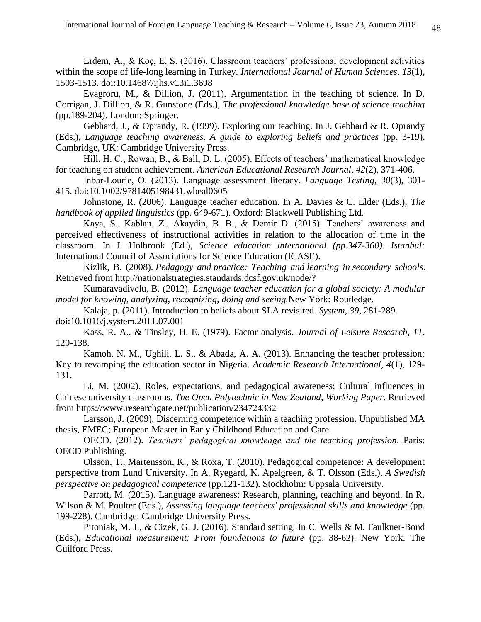Erdem, A., & Koç, E. S. (2016). Classroom teachers' professional development activities within the scope of life-long learning in Turkey. *International Journal of Human Sciences*, *13*(1), 1503-1513. doi:10.14687/ijhs.v13i1.3698

Evagroru, M., & Dillion, J. (2011). Argumentation in the teaching of science. In D. Corrigan, J. Dillion, & R. Gunstone (Eds.), *[The professional knowledge base of science teaching](https://books.google.com/books?id=CC29GJPZWgIC&pg=PA200&lpg=PA200&dq=Crawford+(2007),+teachers%E2%80%99+knowledge&source=bl&ots=NM8XtkmZjq&sig=-j3pmE62Uoh3Hho_AF3xqbZquZc&hl=en&sa=X&ved=0ahUKEwivp7bhl8jUAhWFCpoKHQfnBHM4ChDoAQgmMAA)* (pp.189-204). London: Springer.

Gebhard, J., & Oprandy, R. (1999). Exploring our teaching. In J. Gebhard & R. Oprandy (Eds.), *Language teaching awareness. A guide to exploring beliefs and practices* (pp. 3-19). Cambridge, UK: Cambridge University Press.

Hill, H. C., Rowan, B., & Ball, D. L. (2005). Effects of teachers' mathematical knowledge for teaching on student achievement. *American Educational Research Journal, 42*(2), 371-406.

Inbar-Lourie, O. (2013). Language assessment literacy. *Language Testing, 30*(3), 301- 415. [doi:10.1002/9781405198431.wbeal0605](http://dx.doi.org/10.1002/9781405198431.wbeal0605)

Johnstone, R. (2006). Language teacher education. In A. Davies & C. Elder (Eds.), *The handbook of applied linguistics* (pp. 649-671). Oxford: Blackwell Publishing Ltd.

Kaya, S., Kablan, Z., Akaydin, B. B., & Demir D. (2015). Teachers' awareness and perceived effectiveness of instructional activities in relation to the allocation of time in the classroom. In J. Holbrook (Ed.), *Science education international (pp.347-360). Istanbul:*  International Council of Associations for Science Education (ICASE).

Kizlik, B. (2008). *Pedagogy and practice: Teaching and learning in secondary schools*. Retrieved from [http://nationalstrategies.standards.dcsf.gov.uk/node/?](http://nationalstrategies.standards.dcsf.gov.uk/node/)

Kumaravadivelu, B. (2012). *Language teacher education for a global society: A modular model for knowing, analyzing, recognizing, doing and seeing.*New York: Routledge.

Kalaja, p. (2011). Introduction to beliefs about SLA revisited. *System, 39*, 281-289. [doi:10.1016/j.system.2011.07.001](http://dx.doi.org/10.1016/j.system.2011.07.001)

Kass, R. A., & Tinsley, H. E. (1979). Factor analysis. *Journal of Leisure Research, 11*, 120-138.

Kamoh, N. M., Ughili, L. S., & Abada, A. A. (2013). Enhancing the teacher profession: Key to revamping the education sector in Nigeria. *Academic Research International, 4*(1), 129- 131.

Li, M. (2002). Roles, expectations, and pedagogical awareness: Cultural influences in Chinese university classrooms. *The Open Polytechnic in New Zealand, Working Paper*. Retrieved from [https://www.researchgate.net/publication/234724332](https://www.researchgate.net/publication/234724332_)

Larsson, J. (2009). Discerning competence within a teaching profession. Unpublished MA thesis, EMEC; European Master in Early Childhood Education and Care.

OECD. (2012). *Teachers' pedagogical knowledge and the teaching profession*. Paris: OECD Publishing.

Olsson, T., Martensson, K., & Roxa, T. (2010). Pedagogical competence: A development perspective from Lund University. In A. Ryegard, K. Apelgreen, & T. Olsson (Eds.), *A Swedish perspective on pedagogical competence* (pp.121-132). Stockholm: Uppsala University.

Parrott, M. (2015). Language awareness: Research, planning, teaching and beyond. In R. Wilson & M. Poulter (Eds.), *Assessing language teachers' professional skills and knowledge* (pp. 199-228). Cambridge: Cambridge University Press.

Pitoniak, M. J., & Cizek, G. J. (2016). Standard setting. In C. Wells & M. Faulkner-Bond (Eds.), *Educational measurement: From foundations to future* (pp. 38-62). New York: The Guilford Press.